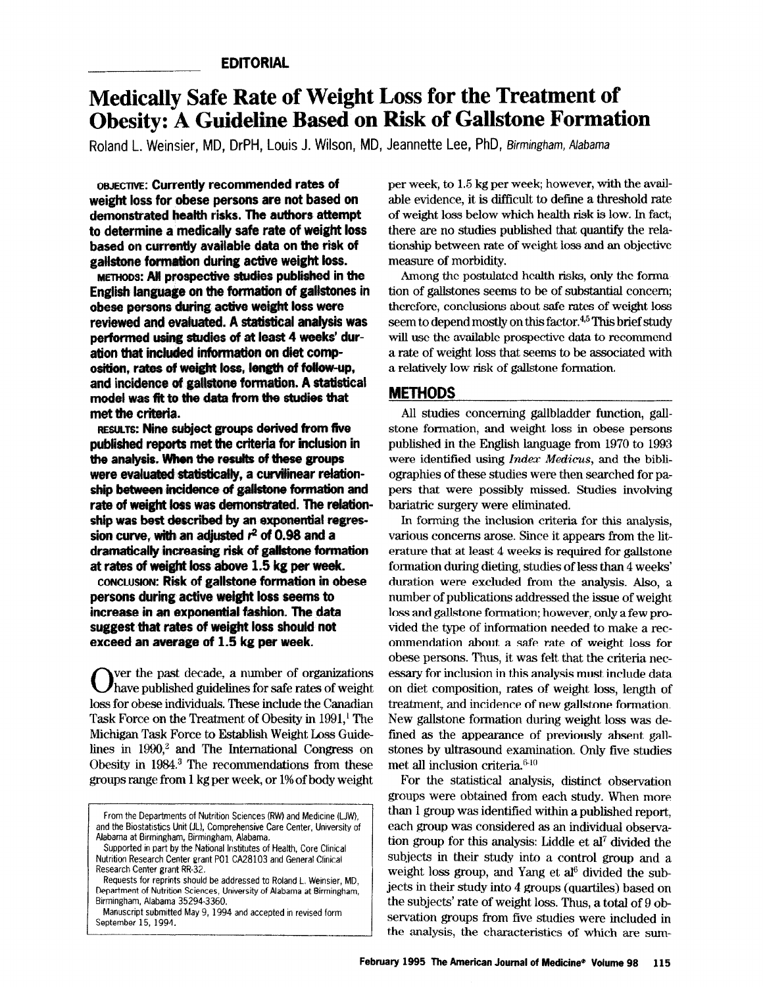# Medically Safe Rate of Weight Loss for the Treatment of Obesity: A Guideline Based on Risk of Gallstone Formation

Roland L. Weinsier, MD, DrPH, Louis J. Wilson, MD, Jeannette Lee, PhD, Sirmingham, Alabama

OWECTIM: Currently recommended rates of weight loss for obese persons are not based on demonstrated health risks. The authors attempt to determine a medically safe rate of weight loss based on currently avaiiable data on the risk of gallstone formation during active weight loss.

METHODS: A# prospective studies pwblished in the English language on the formation of galistones in obese persons during active weight loss were reviewed and evatuated. A stadstical analysis was performed using studies of at least 4 weeks' duration that included information on diet composition, rates of weight loss, length of follow-up, and incidence of gallstone formation. A statistical model was fit to the data from the studies that met the criteria.

RESULTS: Nine subject groups derived from five published reports met the criteria for inclusion in the analysis. When the results of these groups were evaluated statistically, a curvilinear relationship between incidence of gallstone formation and rate of weight loss was demonstrated. The relationship was best described by an exponential regression curve, with an adjusted  $r^2$  of 0.98 and a dramatically increasing risk of gallstone formation at rates of weight loss above 1.5 kg per week.

CONCLUSION: Risk of gallstone formation in obese persons during active weight loss seems to increase in an exponential fashion. The data suggest that rates of weight loss should not exceed an average of 1.5 kg per week.

ver the past decade, a number of organizations  $J$ have published guidelines for safe rates of weight loss for obese individuals. These include the Canadian Task Force on the Treatment of Obesity in 1991,' The Michigan Task Force to Establish Weight Loss Guidelines in  $1990<sup>2</sup>$  and The International Congress on Obesity in 19&L3 The recommendations from these groups range from 1 kg per week, or 1% of body weight per week, to 1.5 kg per week; however, with the available evidence, it is difficult to define a threshold rate of weight loss below which health risk is low. In fact, there are no studies published that quantify the relationship between rate of weight loss and an objective measure of morbidity.

Among the postulated health risks, only the formation of gallstones seems to be of substantial concern; therefore, conclusions about safe rates of weight loss seem to depend mostly on this factor.<sup>4,5</sup> This brief study will use the available prospective data to recommend a rate of weight loss that seems to be associated with a relatively low risk of gallstone formation.

# METHODS

All studies concerning gallbladder function, gall stone formation, and weight loss in obese persons published in the English language from 1970 to 1993 were identified using *Index Medicus*, and the bibliographies of these studies were then searched for papers that were possibly missed. Studies involving bariatric surgery were eliminated.

In forming the inclusion criteria for this analysis, various concerns arose. Since it appears from the literature that at least 4 weeks is required for gallstone formation during dieting, studies of less than 4 weeks' duration were excluded from the analysis. Also, a number of publications addressed the issue of weight loss and gallstone formation; however, only a few provided the type of information needed to make a recommendation about a safe rate of weight loss for obese persons. Thus, it was felt that the criteria necessary for inclusion in this analysis must include data on diet composition, rates of weight loss, length of treatment, and incidence of new gaIlstone formation. New gallstone formation during weight loss was defined as the appearance of previously absent gallstones by ultrasound examination. Only five studies met all inclusion criteria.<sup>6-10</sup>

For the statistical analysis, distinct observation groups were obtained from each study. When more than 1 group was commented with a published report, which more each group was recritica waan a published report  $t_{\text{total}}$  group  $\theta$  and constructed as an individual observasubjects in the analysis. Liquid control group into a control group and a control group and a control group and and and and a control group and and a control group and a control group and a control group and a control grou subjects in their study into a control group and a weight loss group, and Yang et  $a^{16}$  divided the sub- $\frac{1}{2}$  in the  $\frac{1}{2}$  study, and  $\frac{1}{2}$  and  $\frac{1}{2}$  are denoted the sub $t_{\text{tot}}$  and subject of  $\tau$  groups (quarties) based of the subjects' rate of weight loss. Thus, a total of  $9$  observation groups from five studies were included in<br>the analysis, the characteristics of which are sum-

From the Departments Of Nutrition Sciences (KW) and Medicine (LJW), and the Biostatistics Unit (JL), Comprehensive Care Center, University of Alabama at Birmingham, Birmingham, Alabama.

Supported in part by the National Institutes of Health, Core Clinical Nutrition Research Center grant P01 CA28103 and General Clinical Research Center grant RR-32

Requests for reprints should be addressed to Roland L. Weinsier, MD, Department of Nutrition Sciences, University of Alabama at Birmingham, Birmingham, Alabama 35294-3360.

Manuscript submitted May 9, 1994 and accepted in revised form<br>September 15, 1994.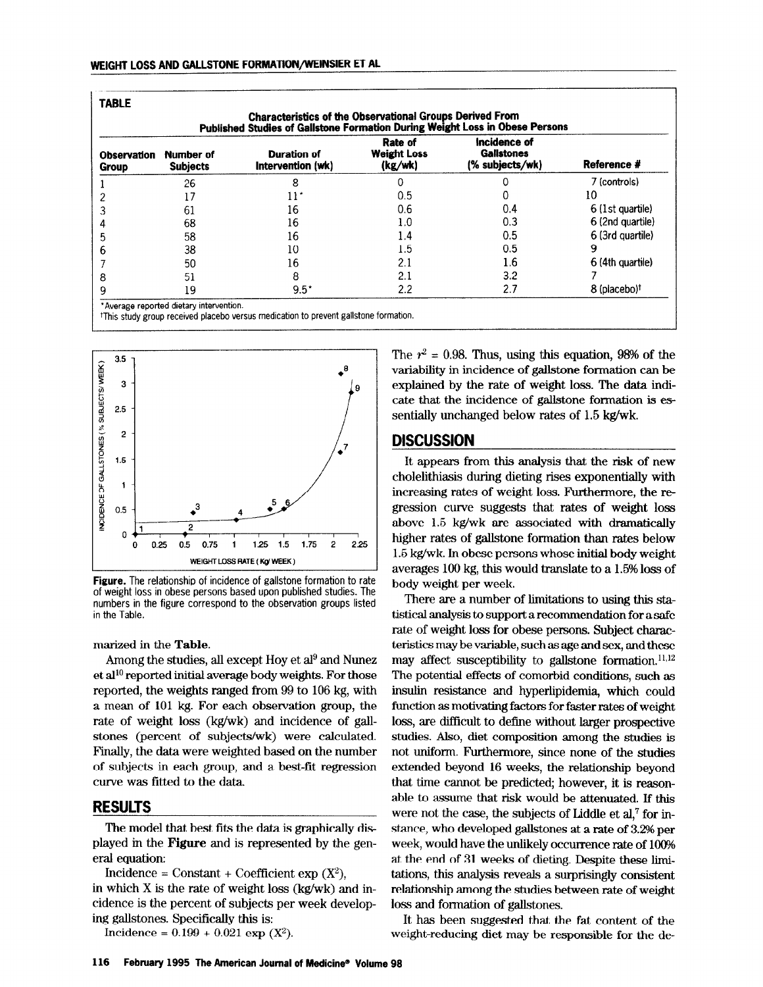| <b>TABLE</b><br><b>Characteristics of the Observational Groups Derived From</b><br>Published Studies of Gallstone Formation During Weight Loss in Obese Persons |                              |                                         |                                          |                                                      |                          |
|-----------------------------------------------------------------------------------------------------------------------------------------------------------------|------------------------------|-----------------------------------------|------------------------------------------|------------------------------------------------------|--------------------------|
| <b>Observation</b><br>Group                                                                                                                                     | Number of<br><b>Subjects</b> | <b>Duration of</b><br>Intervention (wk) | Rate of<br><b>Weight Loss</b><br>(kg/wk) | Incidence of<br><b>Gallstones</b><br>(% subjects/wk) | Reference #              |
|                                                                                                                                                                 | 26                           | 8                                       |                                          |                                                      | 7 (controls)             |
|                                                                                                                                                                 | 17                           | 11"                                     | 0.5                                      | 0                                                    | 10                       |
|                                                                                                                                                                 | 61                           | 16                                      | 0.6                                      | 0.4                                                  | 6 (1st quartile)         |
| 4                                                                                                                                                               | 68                           | 16                                      | 1.0                                      | 0.3                                                  | 6 (2nd quartile)         |
|                                                                                                                                                                 | 58                           | 16                                      | 1.4                                      | 0.5                                                  | 6 (3rd quartile)         |
| n                                                                                                                                                               | 38                           | 10                                      | 1.5                                      | 0.5                                                  | 9                        |
|                                                                                                                                                                 | 50                           | 16                                      | 2.1                                      | 1.6                                                  | 6 (4th quartile)         |
| 8                                                                                                                                                               | 51                           | 8                                       | 2.1                                      | 3.2                                                  |                          |
| 9                                                                                                                                                               | 19                           | $9.5^*$                                 | 2.2                                      | 2.7                                                  | 8 (placebo) <sup>†</sup> |



Figure. The relationship of incidence of gallstone formation to rate of weight loss in obese persons based upon published studies. The numbers in the figure correspond to the observation groups listed in the Table.

marized in the Table.

Among the studies, all except Hoy et  $a^{19}$  and Nunez et al<sup>10</sup> reported initial average body weights. For those reported, the weights ranged from 99 to 106 kg, with a mean of 101 kg. For each observation group, the rate of weight loss (kg/wk) and incidence of gallstones (percent of subjects/wk) were calculated. Finally, the data were weighted based on the number of subjects in each group, and a best-fit regression curve was fitted to the data.

## RESULTS

The model that best fits the data is graphically displayed in the model in the best into the data is graphically displayed in the  $I = \frac{1}{2}$ 

incluence  $\equiv$  constant + coefficient exp  $(x^2)$ , in which X is the rate of weight loss (kg/wk) and incidence is the percent of subjects per week developing gallstones. Specifically this is:<br>Incidence =  $0.199 + 0.021$  exp (X<sup>2</sup>).

The  $r^2 = 0.98$ . Thus, using this equation, 98% of the variability in incidence of gallstone formation can be explained by the rate of weight loss. The data indicate that the incidence of gallstone formation is essentially unchanged below rates of 1.5 kg/wk.

## **DISCUSSION**

It appears from this analysis that the risk of new cholelithiasis during dieting rises exponentially with increasing rates of weight loss. Furthermore, the regression curve suggests that rates of weight loss above 1.5 kg/wk are associated with dramatically higher rates of gallstone formation than rates below 1.5 kg/wk. In obese persons whose initial body weight averages 100 kg, this would translate to a 1.5% loss of body weight per week.

There are a number of limitations to using this statistical analysis to support a recommendation for a safe rate of weight loss for obese persons. Subject characteristics may be variable, such as age and sex, and these may affect susceptibility to gallstone formation. $^{11,12}$ The potential effects of comorbid conditions, such as insulin resistance and hyperlipidemia, which could function as motivating factors for faster rates of weight loss, are difficult to define without larger prospective studies. Also, die tempo is die studies is die studies in the studies in the studies in the studies in the studies of the studies in the studies of the studies of the studies of the studies of the studies of the studies of  $n_{\text{max}}$  and  $n_{\text{max}}$  are composition among the studies is not uniform. Furthermore, since none of the studies extended beyond 16 weeks, the relationship beyond that time cannot be predicted; however, it is reasonable to assume that risk would be attenuated. If this and to assume that the would be attenuated. If this were not the case, the subjects of Liquid et al. for the stance, who developed gallstones at a rate of 3.2% per week, would have the unlikely occurrence rate of 100% at the end of 31 weeks of dieting. Despite these limitations, this analysis reveals a surprisingly consistent relationship among the studies between rate of weight loss and formation of gallstones. It and formation of galistones.

It has been suggested that the fat content of the